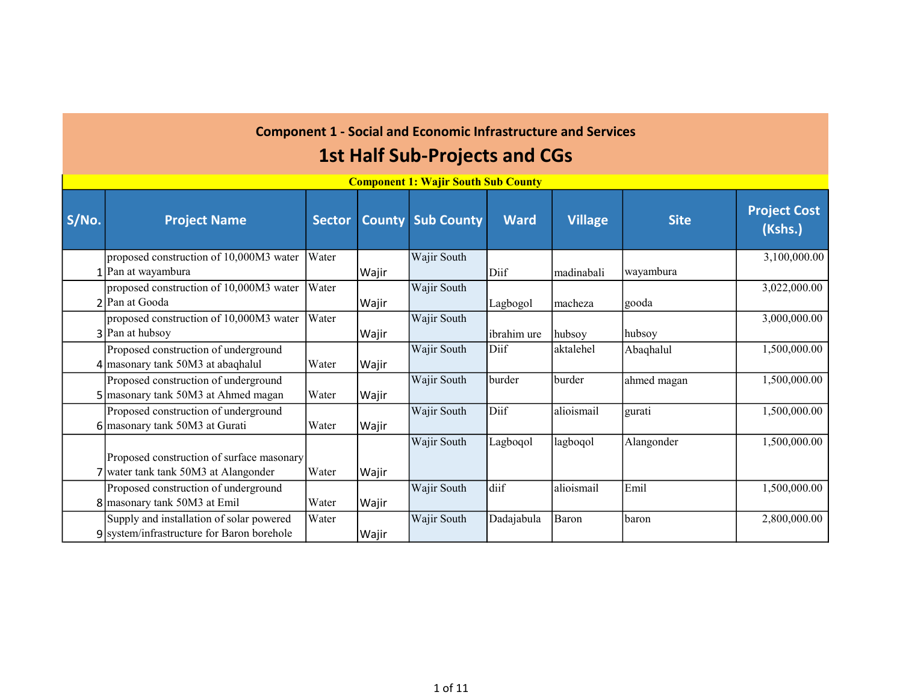|       | Component 1: Wajir South Sub County        |               |               |                   |             |                |             |                                |  |  |  |  |
|-------|--------------------------------------------|---------------|---------------|-------------------|-------------|----------------|-------------|--------------------------------|--|--|--|--|
| S/No. | <b>Project Name</b>                        | <b>Sector</b> | <b>County</b> | <b>Sub County</b> | <b>Ward</b> | <b>Village</b> | <b>Site</b> | <b>Project Cost</b><br>(Kshs.) |  |  |  |  |
|       | proposed construction of 10,000M3 water    | Water         |               | Wajir South       |             |                |             | 3,100,000.00                   |  |  |  |  |
|       | Pan at wayambura                           |               | Wajir         |                   | Diif        | madinabali     | wayambura   |                                |  |  |  |  |
|       | proposed construction of 10,000M3 water    | Water         |               | Wajir South       |             |                |             | 3,022,000.00                   |  |  |  |  |
|       | 2 Pan at Gooda                             |               | Wajir         |                   | Lagbogol    | macheza        | gooda       |                                |  |  |  |  |
|       | proposed construction of 10,000M3 water    | Water         |               | Wajir South       |             |                |             | 3,000,000.00                   |  |  |  |  |
|       | 3 Pan at hubsoy                            |               | Wajir         |                   | ibrahim ure | hubsoy         | hubsoy      |                                |  |  |  |  |
|       | Proposed construction of underground       |               |               | Wajir South       | Diif        | aktalehel      | Abaqhalul   | 1,500,000.00                   |  |  |  |  |
|       | $4$ masonary tank 50M3 at abaghalul        | Water         | Wajir         |                   |             |                |             |                                |  |  |  |  |
|       | Proposed construction of underground       |               |               | Wajir South       | burder      | burder         | ahmed magan | 1,500,000.00                   |  |  |  |  |
|       | masonary tank 50M3 at Ahmed magan          | Water         | Wajir         |                   |             |                |             |                                |  |  |  |  |
|       | Proposed construction of underground       |               |               | Wajir South       | Diif        | alioismail     | gurati      | 1,500,000.00                   |  |  |  |  |
|       | $6$ masonary tank 50M3 at Gurati           | Water         | Wajir         |                   |             |                |             |                                |  |  |  |  |
|       |                                            |               |               | Wajir South       | Lagboqol    | lagboqol       | Alangonder  | 1,500,000.00                   |  |  |  |  |
|       | Proposed construction of surface masonary  |               |               |                   |             |                |             |                                |  |  |  |  |
|       | water tank tank 50M3 at Alangonder         | Water         | Wajir         |                   |             |                |             |                                |  |  |  |  |
|       | Proposed construction of underground       |               |               | Wajir South       | diif        | alioismail     | Emil        | 1,500,000.00                   |  |  |  |  |
|       | 8 masonary tank 50M3 at Emil               | Water         | Wajir         |                   |             |                |             |                                |  |  |  |  |
|       | Supply and installation of solar powered   | Water         |               | Wajir South       | Dadajabula  | Baron          | baron       | 2,800,000.00                   |  |  |  |  |
|       | 9 system/infrastructure for Baron borehole |               | Wajir         |                   |             |                |             |                                |  |  |  |  |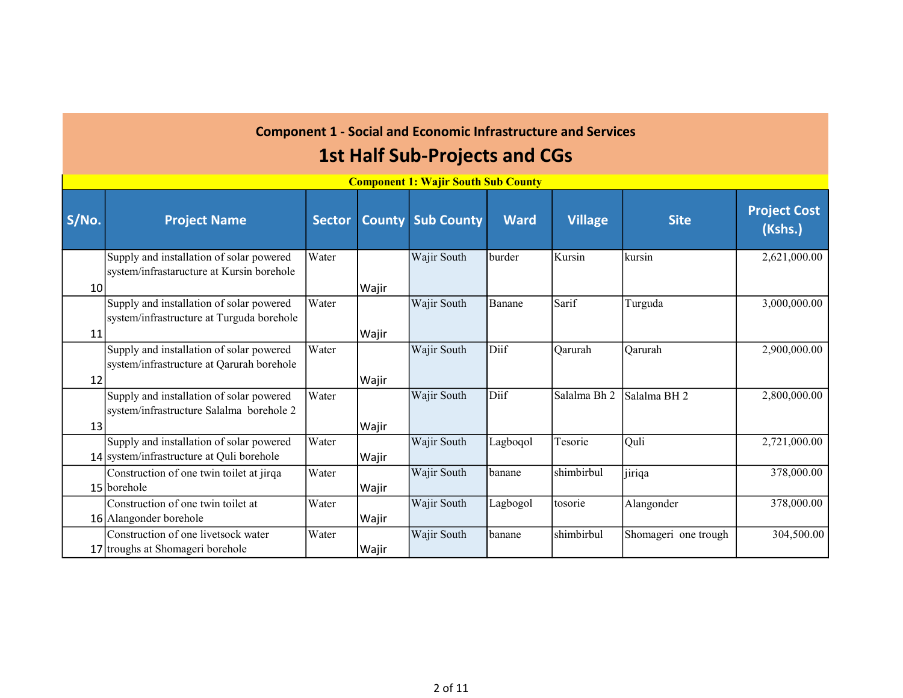|                 |                                           |               |               | <u>Component 1. Wajn bouth bub County</u> |             |                |                         |                                |
|-----------------|-------------------------------------------|---------------|---------------|-------------------------------------------|-------------|----------------|-------------------------|--------------------------------|
| S/No.           | <b>Project Name</b>                       | <b>Sector</b> | <b>County</b> | <b>Sub County</b>                         | <b>Ward</b> | <b>Village</b> | <b>Site</b>             | <b>Project Cost</b><br>(Kshs.) |
|                 | Supply and installation of solar powered  | Water         |               | Wajir South                               | burder      | Kursin         | kursin                  | 2,621,000.00                   |
|                 | system/infrastaructure at Kursin borehole |               |               |                                           |             |                |                         |                                |
| 10 <sup>1</sup> |                                           |               | Wajir         |                                           |             |                |                         |                                |
|                 | Supply and installation of solar powered  | Water         |               | Wajir South                               | Banane      | Sarif          | Turguda                 | 3,000,000.00                   |
|                 | system/infrastructure at Turguda borehole |               |               |                                           |             |                |                         |                                |
| 11              |                                           |               | Wajir         |                                           |             |                |                         |                                |
|                 | Supply and installation of solar powered  | Water         |               | Wajir South                               | Diif        | Qarurah        | Qarurah                 | 2,900,000.00                   |
|                 | system/infrastructure at Qarurah borehole |               |               |                                           |             |                |                         |                                |
| 12              |                                           |               | Wajir         |                                           |             |                |                         |                                |
|                 | Supply and installation of solar powered  | Water         |               | Wajir South                               | Diif        | Salalma Bh 2   | Salalma BH <sub>2</sub> | 2,800,000.00                   |
|                 | system/infrastructure Salalma borehole 2  |               |               |                                           |             |                |                         |                                |
| 13              |                                           |               | Wajir         |                                           |             |                |                         |                                |
|                 | Supply and installation of solar powered  | Water         |               | Wajir South                               | Lagboqol    | Tesorie        | Quli                    | 2,721,000.00                   |
|                 | 14 system/infrastructure at Quli borehole |               | Wajir         |                                           |             |                |                         |                                |
|                 | Construction of one twin toilet at jirqa  | Water         |               | Wajir South                               | banane      | shimbirbul     | jiriqa                  | 378,000.00                     |
|                 | 15 borehole                               |               | Wajir         |                                           |             |                |                         |                                |
|                 | Construction of one twin toilet at        | Water         |               | Wajir South                               | Lagbogol    | tosorie        | Alangonder              | 378,000.00                     |
|                 | 16 Alangonder borehole                    |               | Wajir         |                                           |             |                |                         |                                |
|                 | Construction of one livetsock water       | Water         |               | Wajir South                               | banane      | shimbirbul     | Shomageri one trough    | 304,500.00                     |
|                 | 17 troughs at Shomageri borehole          |               | Wajir         |                                           |             |                |                         |                                |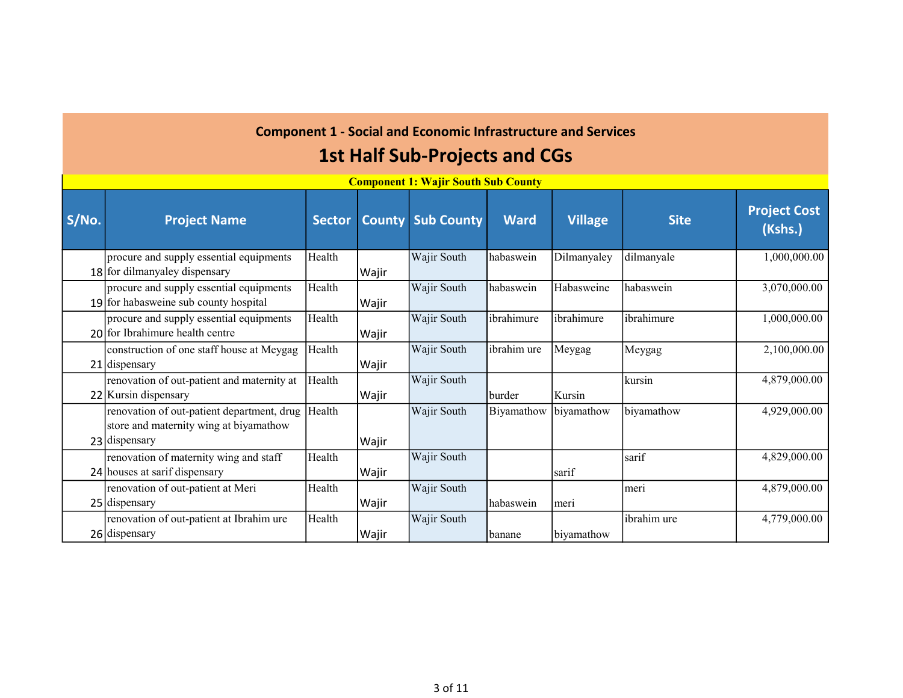|       |                                                                                                               |               |               | Component 1. <i>Wajn South Sub County</i> |             |                |             |                                |
|-------|---------------------------------------------------------------------------------------------------------------|---------------|---------------|-------------------------------------------|-------------|----------------|-------------|--------------------------------|
| S/No. | <b>Project Name</b>                                                                                           | <b>Sector</b> | <b>County</b> | <b>Sub County</b>                         | <b>Ward</b> | <b>Village</b> | <b>Site</b> | <b>Project Cost</b><br>(Kshs.) |
|       | procure and supply essential equipments<br>18 for dilmanyaley dispensary                                      | Health        | Wajir         | Wajir South                               | habaswein   | Dilmanyaley    | dilmanyale  | 1,000,000.00                   |
|       | procure and supply essential equipments<br>19 for habasweine sub county hospital                              | Health        | Wajir         | Wajir South                               | habaswein   | Habasweine     | habaswein   | 3,070,000.00                   |
|       | procure and supply essential equipments<br>$20$ for Ibrahimure health centre                                  | Health        | Wajir         | Wajir South                               | ibrahimure  | ibrahimure     | ibrahimure  | 1,000,000.00                   |
|       | construction of one staff house at Meygag<br>21 dispensary                                                    | Health        | Wajir         | Wajir South                               | ibrahim ure | Meygag         | Meygag      | 2,100,000.00                   |
|       | renovation of out-patient and maternity at<br>22 Kursin dispensary                                            | Health        | Wajir         | Wajir South                               | burder      | Kursin         | kursin      | 4,879,000.00                   |
|       | renovation of out-patient department, drug  Health<br>store and maternity wing at biyamathow<br>23 dispensary |               | Wajir         | Wajir South                               | Biyamathow  | biyamathow     | biyamathow  | 4,929,000.00                   |
|       | renovation of maternity wing and staff<br>24 houses at sarif dispensary                                       | Health        | Wajir         | Wajir South                               |             | lsarif         | sarif       | 4,829,000.00                   |
|       | renovation of out-patient at Meri<br>25 dispensary                                                            | Health        | Wajir         | Wajir South                               | habaswein   | meri           | meri        | 4,879,000.00                   |
|       | renovation of out-patient at Ibrahim ure<br>26 dispensary                                                     | Health        | Wajir         | Wajir South                               | banane      | biyamathow     | ibrahim ure | 4,779,000.00                   |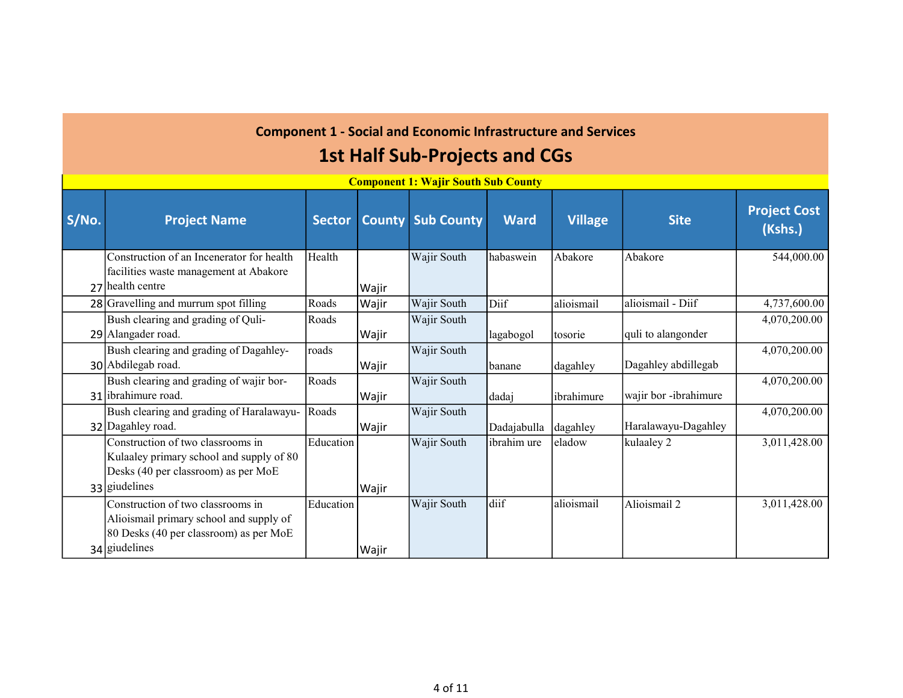|       |                                           |               |               | Component 1. Wajn South Sub County |             |                |                       |                                |
|-------|-------------------------------------------|---------------|---------------|------------------------------------|-------------|----------------|-----------------------|--------------------------------|
| S/No. | <b>Project Name</b>                       | <b>Sector</b> | <b>County</b> | <b>Sub County</b>                  | Ward        | <b>Village</b> | <b>Site</b>           | <b>Project Cost</b><br>(Kshs.) |
|       | Construction of an Incenerator for health | Health        |               | Wajir South                        | habaswein   | Abakore        | Abakore               | 544,000.00                     |
|       | facilities waste management at Abakore    |               |               |                                    |             |                |                       |                                |
|       | 27 health centre                          |               | Wajir         |                                    |             |                |                       |                                |
|       | 28 Gravelling and murrum spot filling     | Roads         | Wajir         | Wajir South                        | Diif        | alioismail     | alioismail - Diif     | 4,737,600.00                   |
|       | Bush clearing and grading of Quli-        | Roads         |               | Wajir South                        |             |                |                       | 4,070,200.00                   |
|       | 29 Alangader road.                        |               | Wajir         |                                    | lagabogol   | tosorie        | quli to alangonder    |                                |
|       | Bush clearing and grading of Dagahley-    | roads         |               | Wajir South                        |             |                |                       | 4,070,200.00                   |
|       | 30 Abdilegab road.                        |               | Wajir         |                                    | banane      | dagahley       | Dagahley abdillegab   |                                |
|       | Bush clearing and grading of wajir bor-   | Roads         |               | Wajir South                        |             |                |                       | 4,070,200.00                   |
|       | 31 ibrahimure road.                       |               | Wajir         |                                    | dadaj       | ibrahimure     | wajir bor -ibrahimure |                                |
|       | Bush clearing and grading of Haralawayu-  | Roads         |               | Wajir South                        |             |                |                       | 4,070,200.00                   |
|       | 32 Dagahley road.                         |               | Wajir         |                                    | Dadajabulla | dagahley       | Haralawayu-Dagahley   |                                |
|       | Construction of two classrooms in         | Education     |               | Wajir South                        | ibrahim ure | eladow         | kulaaley 2            | 3,011,428.00                   |
|       | Kulaaley primary school and supply of 80  |               |               |                                    |             |                |                       |                                |
|       | Desks (40 per classroom) as per MoE       |               |               |                                    |             |                |                       |                                |
|       | 33 giudelines                             |               | Wajir         |                                    |             |                |                       |                                |
|       | Construction of two classrooms in         | Education     |               | Wajir South                        | diif        | alioismail     | Alioismail 2          | 3,011,428.00                   |
|       | Alioismail primary school and supply of   |               |               |                                    |             |                |                       |                                |
|       | 80 Desks (40 per classroom) as per MoE    |               |               |                                    |             |                |                       |                                |
|       | 34 giudelines                             |               | Wajir         |                                    |             |                |                       |                                |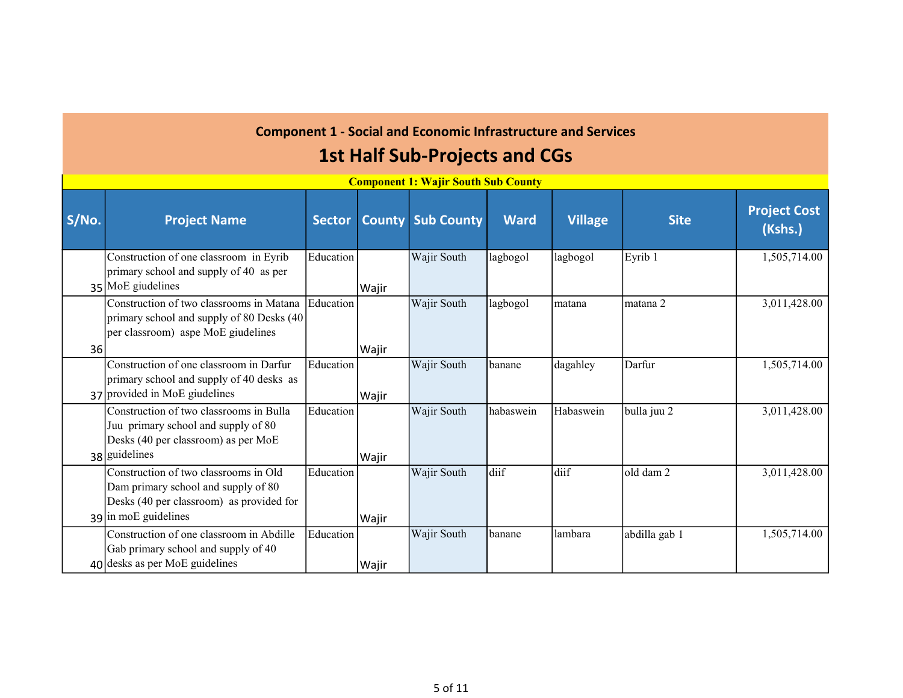|       |                                                                                                                                                  |               |               | <u>Component 1. Wajn South Sub County</u> |             |                |               |                                |
|-------|--------------------------------------------------------------------------------------------------------------------------------------------------|---------------|---------------|-------------------------------------------|-------------|----------------|---------------|--------------------------------|
| S/No. | <b>Project Name</b>                                                                                                                              | <b>Sector</b> | <b>County</b> | <b>Sub County</b>                         | <b>Ward</b> | <b>Village</b> | <b>Site</b>   | <b>Project Cost</b><br>(Kshs.) |
|       | Construction of one classroom in Eyrib<br>primary school and supply of 40 as per<br>35 MoE giudelines                                            | Education     | Wajir         | Wajir South                               | lagbogol    | lagbogol       | Eyrib 1       | 1,505,714.00                   |
| 36    | Construction of two classrooms in Matana<br>primary school and supply of 80 Desks (40<br>per classroom) aspe MoE giudelines                      | Education     | Wajir         | Wajir South                               | lagbogol    | matana         | matana 2      | 3,011,428.00                   |
|       | Construction of one classroom in Darfur<br>primary school and supply of 40 desks as<br>37 provided in MoE giudelines                             | Education     | Wajir         | Wajir South                               | banane      | dagahley       | Darfur        | 1,505,714.00                   |
|       | Construction of two classrooms in Bulla<br>Juu primary school and supply of 80<br>Desks (40 per classroom) as per MoE<br>38 guidelines           | Education     | Wajir         | Wajir South                               | habaswein   | Habaswein      | bulla juu 2   | 3,011,428.00                   |
|       | Construction of two classrooms in Old<br>Dam primary school and supply of 80<br>Desks (40 per classroom) as provided for<br>39 in moE guidelines | Education     | Wajir         | Wajir South                               | diif        | diif           | old dam 2     | 3,011,428.00                   |
|       | Construction of one classroom in Abdille<br>Gab primary school and supply of 40<br>$40$ desks as per MoE guidelines                              | Education     | Wajir         | Wajir South                               | banane      | lambara        | abdilla gab 1 | 1,505,714.00                   |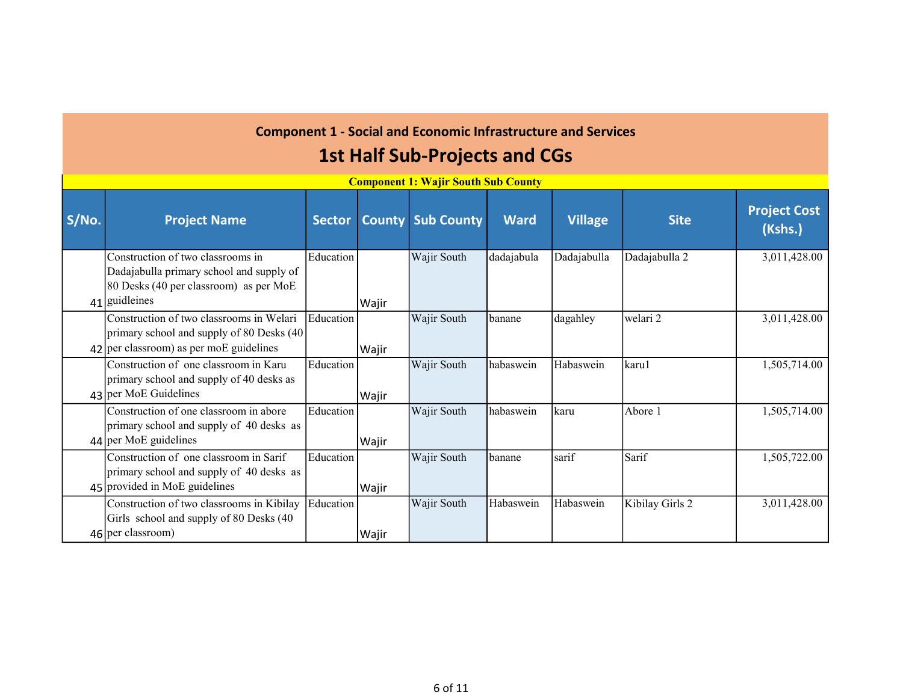| S/No. | <b>Project Name</b>                                                                                                                      | <b>Sector</b> | <b>County</b> | <b>Sub County</b> | <b>Ward</b> | <b>Village</b> | <b>Site</b>     | <b>Project Cost</b><br>(Kshs.) |
|-------|------------------------------------------------------------------------------------------------------------------------------------------|---------------|---------------|-------------------|-------------|----------------|-----------------|--------------------------------|
|       | Construction of two classrooms in<br>Dadajabulla primary school and supply of<br>80 Desks (40 per classroom) as per MoE<br>41 guidleines | Education     | Wajir         | Wajir South       | dadajabula  | Dadajabulla    | Dadajabulla 2   | 3,011,428.00                   |
|       | Construction of two classrooms in Welari<br>primary school and supply of 80 Desks (40)<br>$42$ per classroom) as per moE guidelines      | Education     | Wajir         | Wajir South       | banane      | dagahley       | welari 2        | 3,011,428.00                   |
|       | Construction of one classroom in Karu<br>primary school and supply of 40 desks as<br>43 per MoE Guidelines                               | Education     | Wajir         | Wajir South       | habaswein   | Habaswein      | karu1           | 1,505,714.00                   |
|       | Construction of one classroom in abore<br>primary school and supply of 40 desks as<br>44 per MoE guidelines                              | Education     | Wajir         | Wajir South       | habaswein   | karu           | Abore 1         | 1,505,714.00                   |
|       | Construction of one classroom in Sarif<br>primary school and supply of 40 desks as<br>45 provided in MoE guidelines                      | Education     | Wajir         | Wajir South       | banane      | sarif          | Sarif           | 1,505,722.00                   |
|       | Construction of two classrooms in Kibilay<br>Girls school and supply of 80 Desks (40<br>46 per classroom)                                | Education     | Wajir         | Wajir South       | Habaswein   | Habaswein      | Kibilay Girls 2 | 3,011,428.00                   |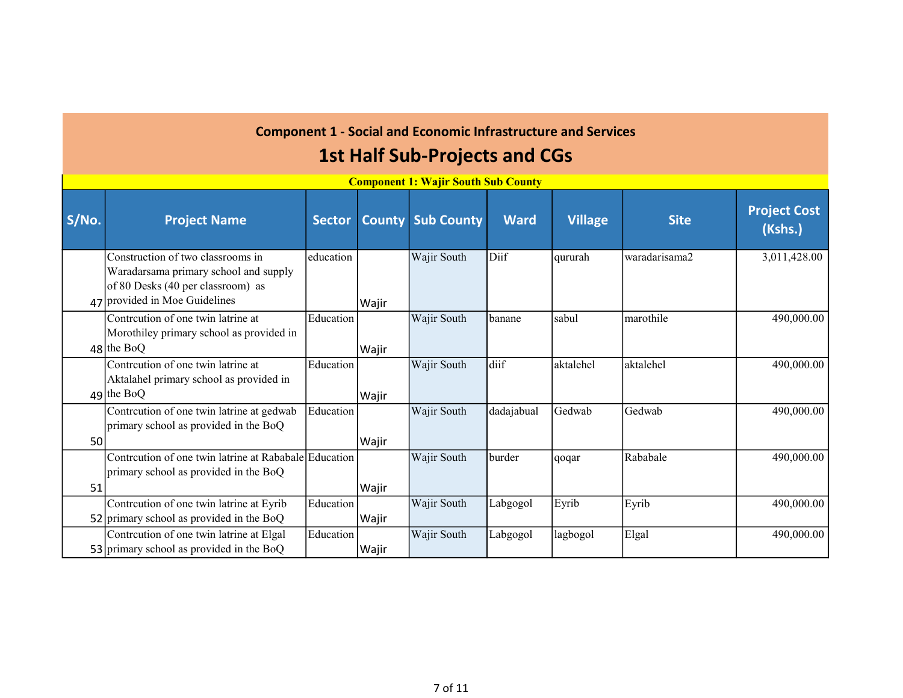|       | <u>Component 1. Wajn South Sub County</u>                                                                                                        |               |               |                   |             |                |               |                                |  |  |  |  |
|-------|--------------------------------------------------------------------------------------------------------------------------------------------------|---------------|---------------|-------------------|-------------|----------------|---------------|--------------------------------|--|--|--|--|
| S/No. | <b>Project Name</b>                                                                                                                              | <b>Sector</b> | <b>County</b> | <b>Sub County</b> | <b>Ward</b> | <b>Village</b> | <b>Site</b>   | <b>Project Cost</b><br>(Kshs.) |  |  |  |  |
|       | Construction of two classrooms in<br>Waradarsama primary school and supply<br>of 80 Desks (40 per classroom) as<br>47 provided in Moe Guidelines | education     | Wajir         | Wajir South       | Diif        | qururah        | waradarisama2 | 3,011,428.00                   |  |  |  |  |
|       | Contrcution of one twin latrine at<br>Morothiley primary school as provided in<br>$48$ the BoQ                                                   | Education     | Wajir         | Wajir South       | banane      | sabul          | marothile     | 490,000.00                     |  |  |  |  |
|       | Contrcution of one twin latrine at<br>Aktalahel primary school as provided in<br>$49$ the BoQ                                                    | Education     | Wajir         | Wajir South       | diif        | aktalehel      | aktalehel     | 490,000.00                     |  |  |  |  |
| 50    | Contrcution of one twin latrine at gedwab<br>primary school as provided in the BoQ                                                               | Education     | Wajir         | Wajir South       | dadajabual  | Gedwab         | Gedwab        | 490,000.00                     |  |  |  |  |
| 51    | Contrcution of one twin latrine at Rababale Education<br>primary school as provided in the BoQ                                                   |               | Wajir         | Wajir South       | burder      | qoqar          | Rababale      | 490,000.00                     |  |  |  |  |
|       | Contrcution of one twin latrine at Eyrib<br>52 primary school as provided in the BoQ                                                             | Education     | Wajir         | Wajir South       | Labgogol    | Eyrib          | Eyrib         | 490,000.00                     |  |  |  |  |
|       | Contrcution of one twin latrine at Elgal<br>53 primary school as provided in the BoQ                                                             | Education     | Wajir         | Wajir South       | Labgogol    | lagbogol       | Elgal         | 490,000.00                     |  |  |  |  |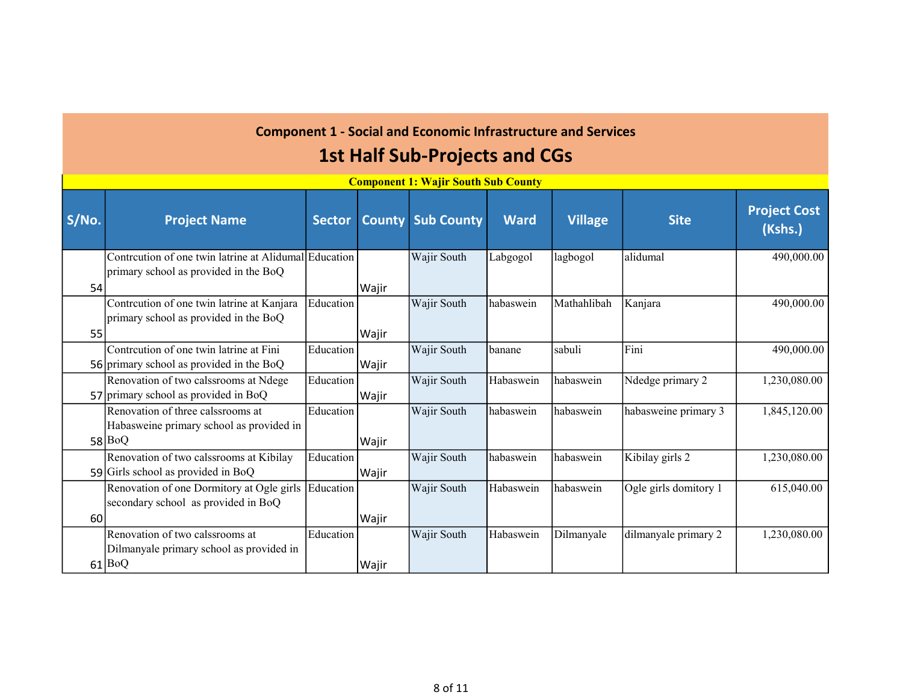|       |                                                                                                |               |       | <u>Сошронсист, wајн боиш бив Соингу</u> |             |                |                       |                                |
|-------|------------------------------------------------------------------------------------------------|---------------|-------|-----------------------------------------|-------------|----------------|-----------------------|--------------------------------|
| S/No. | <b>Project Name</b>                                                                            | <b>Sector</b> |       | <b>County Sub County</b>                | <b>Ward</b> | <b>Village</b> | <b>Site</b>           | <b>Project Cost</b><br>(Kshs.) |
| 54    | Contrcution of one twin latrine at Alidumal Education<br>primary school as provided in the BoQ |               | Wajir | Wajir South                             | Labgogol    | lagbogol       | lalidumal             | 490,000.00                     |
| 55    | Contrcution of one twin latrine at Kanjara<br>primary school as provided in the BoQ            | Education     | Wajir | Wajir South                             | habaswein   | Mathahlibah    | Kanjara               | 490,000.00                     |
|       | Contrcution of one twin latrine at Fini<br>56 primary school as provided in the BoQ            | Education     | Wajir | Wajir South                             | banane      | sabuli         | Fini                  | 490,000.00                     |
|       | Renovation of two calssrooms at Ndege<br>57 primary school as provided in BoQ                  | Education     | Wajir | Wajir South                             | Habaswein   | habaswein      | Ndedge primary 2      | 1,230,080.00                   |
|       | Renovation of three calssrooms at<br>Habasweine primary school as provided in<br>58 BoQ        | Education     | Wajir | Wajir South                             | habaswein   | habaswein      | habasweine primary 3  | 1,845,120.00                   |
|       | Renovation of two calssrooms at Kibilay<br>59 Girls school as provided in BoQ                  | Education     | Wajir | Wajir South                             | habaswein   | habaswein      | Kibilay girls 2       | 1,230,080.00                   |
| 60    | Renovation of one Dormitory at Ogle girls<br>secondary school as provided in BoQ               | Education     | Wajir | Wajir South                             | Habaswein   | habaswein      | Ogle girls domitory 1 | 615,040.00                     |
|       | Renovation of two calssrooms at<br>Dilmanyale primary school as provided in<br>61 BoQ          | Education     | Wajir | Wajir South                             | Habaswein   | Dilmanyale     | dilmanyale primary 2  | 1,230,080.00                   |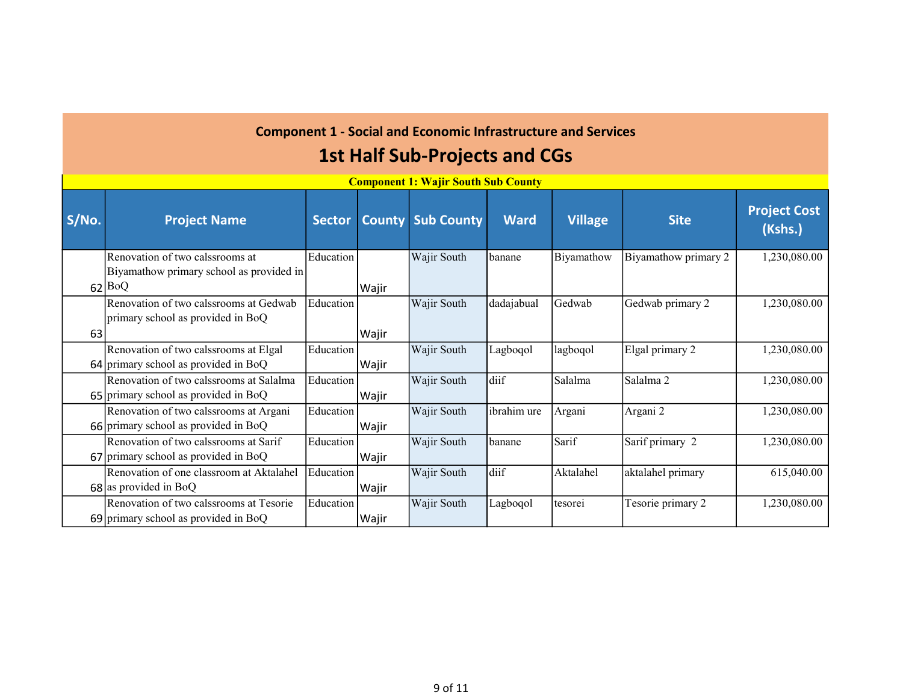|       | <b>Component 1: Wajir South Sub County</b>                                            |               |               |                   |             |            |                      |                                |  |  |  |
|-------|---------------------------------------------------------------------------------------|---------------|---------------|-------------------|-------------|------------|----------------------|--------------------------------|--|--|--|
| S/No. | <b>Project Name</b>                                                                   | <b>Sector</b> | <b>County</b> | <b>Sub County</b> | <b>Ward</b> | Village    | <b>Site</b>          | <b>Project Cost</b><br>(Kshs.) |  |  |  |
|       | Renovation of two calssrooms at<br>Biyamathow primary school as provided in<br>62 BoQ | Education     | Wajir         | Wajir South       | banane      | Biyamathow | Biyamathow primary 2 | 1,230,080.00                   |  |  |  |
| 63    | Renovation of two calssrooms at Gedwab<br>primary school as provided in BoQ           | Education     | Wajir         | Wajir South       | dadajabual  | Gedwab     | Gedwab primary 2     | 1,230,080.00                   |  |  |  |
|       | Renovation of two calssrooms at Elgal<br>$64$ primary school as provided in BoQ       | Education     | Wajir         | Wajir South       | Lagboqol    | lagboqol   | Elgal primary 2      | 1,230,080.00                   |  |  |  |
|       | Renovation of two calssrooms at Salalma<br>65 primary school as provided in BoQ       | Education     | Wajir         | Wajir South       | diif        | Salalma    | Salalma <sub>2</sub> | 1,230,080.00                   |  |  |  |
|       | Renovation of two calssrooms at Argani<br>66 primary school as provided in BoQ        | Education     | Wajir         | Wajir South       | ibrahim ure | Argani     | Argani 2             | 1,230,080.00                   |  |  |  |
|       | Renovation of two calssrooms at Sarif<br>67 primary school as provided in BoQ         | Education     | Wajir         | Wajir South       | Ibanane     | Sarif      | Sarif primary 2      | 1,230,080.00                   |  |  |  |
|       | Renovation of one classroom at Aktalahel<br>$68$ as provided in BoQ                   | Education     | Wajir         | Wajir South       | diif        | Aktalahel  | aktalahel primary    | 615,040.00                     |  |  |  |
|       | Renovation of two calssrooms at Tesorie<br>69 primary school as provided in BoQ       | Education     | Wajir         | Wajir South       | Lagboqol    | tesorei    | Tesorie primary 2    | 1,230,080.00                   |  |  |  |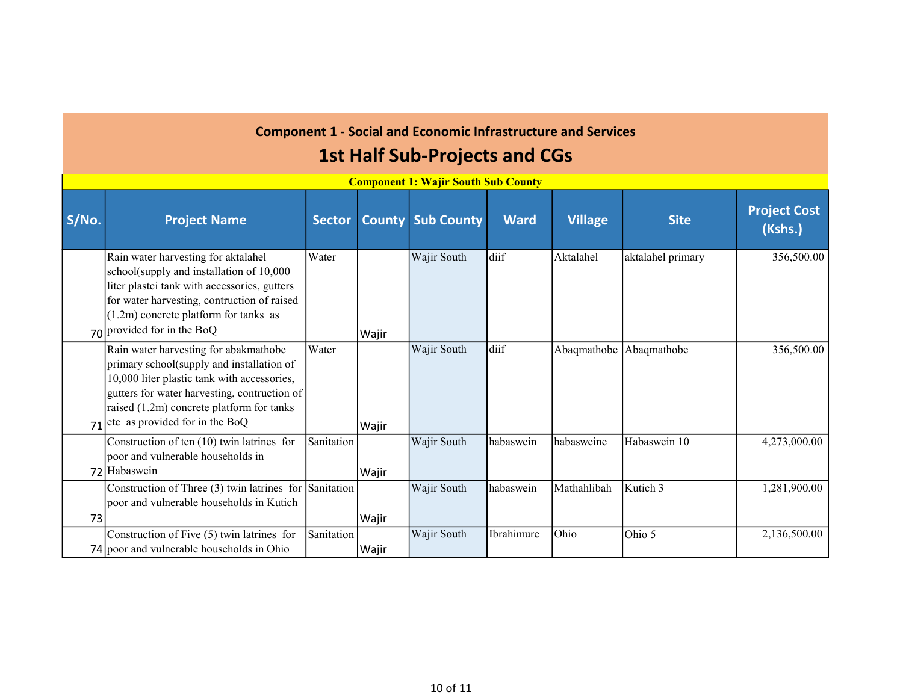|       |                                                                                                                                                                                                                                                                  |                   |       | <u>сотронене на тајн боиен био социез</u> |             |                |                   |                                |
|-------|------------------------------------------------------------------------------------------------------------------------------------------------------------------------------------------------------------------------------------------------------------------|-------------------|-------|-------------------------------------------|-------------|----------------|-------------------|--------------------------------|
| S/No. | <b>Project Name</b>                                                                                                                                                                                                                                              | <b>Sector</b>     |       | <b>County Sub County</b>                  | <b>Ward</b> | <b>Village</b> | <b>Site</b>       | <b>Project Cost</b><br>(Kshs.) |
|       | Rain water harvesting for aktalahel<br>school(supply and installation of 10,000<br>liter plastci tank with accessories, gutters<br>for water harvesting, contruction of raised<br>$(1.2m)$ concrete platform for tanks as<br>$70$ provided for in the BoQ        | Water             | Wajir | Wajir South                               | diif        | Aktalahel      | aktalahel primary | 356,500.00                     |
| 71    | Rain water harvesting for abakmathobe<br>primary school(supply and installation of<br>10,000 liter plastic tank with accessories,<br>gutters for water harvesting, contruction of<br>raised (1.2m) concrete platform for tanks<br>etc as provided for in the BoQ | Water             | Wajir | Wajir South                               | diif        | Abaqmathobe    | Abaqmathobe       | 356,500.00                     |
|       | Construction of ten (10) twin latrines for<br>poor and vulnerable households in<br>72 Habaswein                                                                                                                                                                  | Sanitation        | Wajir | Wajir South                               | habaswein   | habasweine     | Habaswein 10      | 4,273,000.00                   |
| 73    | Construction of Three (3) twin latrines for Sanitation<br>poor and vulnerable households in Kutich                                                                                                                                                               |                   | Wajir | Wajir South                               | habaswein   | Mathahlibah    | Kutich 3          | 1,281,900.00                   |
|       | Construction of Five (5) twin latrines for<br>74 poor and vulnerable households in Ohio                                                                                                                                                                          | <b>Sanitation</b> | Wajir | Wajir South                               | Ibrahimure  | Ohio           | Ohio 5            | 2,136,500.00                   |